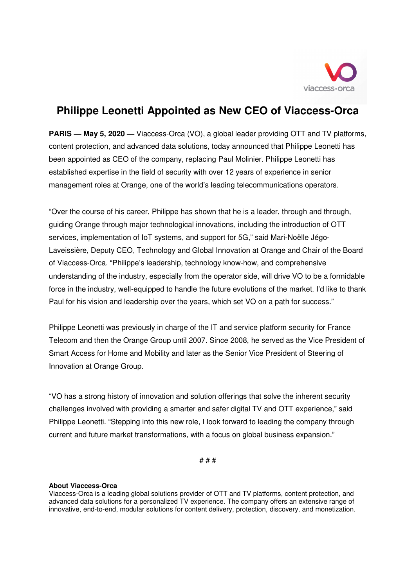

## **Philippe Leonetti Appointed as New CEO of Viaccess-Orca**

**PARIS — May 5, 2020 —** Viaccess-Orca (VO), a global leader providing OTT and TV platforms, content protection, and advanced data solutions, today announced that Philippe Leonetti has been appointed as CEO of the company, replacing Paul Molinier. Philippe Leonetti has established expertise in the field of security with over 12 years of experience in senior management roles at Orange, one of the world's leading telecommunications operators.

"Over the course of his career, Philippe has shown that he is a leader, through and through, guiding Orange through major technological innovations, including the introduction of OTT services, implementation of IoT systems, and support for 5G," said Mari-Noëlle Jégo-Laveissière, Deputy CEO, Technology and Global Innovation at Orange and Chair of the Board of Viaccess-Orca. "Philippe's leadership, technology know-how, and comprehensive understanding of the industry, especially from the operator side, will drive VO to be a formidable force in the industry, well-equipped to handle the future evolutions of the market. I'd like to thank Paul for his vision and leadership over the years, which set VO on a path for success."

Philippe Leonetti was previously in charge of the IT and service platform security for France Telecom and then the Orange Group until 2007. Since 2008, he served as the Vice President of Smart Access for Home and Mobility and later as the Senior Vice President of Steering of Innovation at Orange Group.

"VO has a strong history of innovation and solution offerings that solve the inherent security challenges involved with providing a smarter and safer digital TV and OTT experience," said Philippe Leonetti. "Stepping into this new role, I look forward to leading the company through current and future market transformations, with a focus on global business expansion."

# # #

## **About Viaccess-Orca**

Viaccess-Orca is a leading global solutions provider of OTT and TV platforms, content protection, and advanced data solutions for a personalized TV experience. The company offers an extensive range of innovative, end-to-end, modular solutions for content delivery, protection, discovery, and monetization.